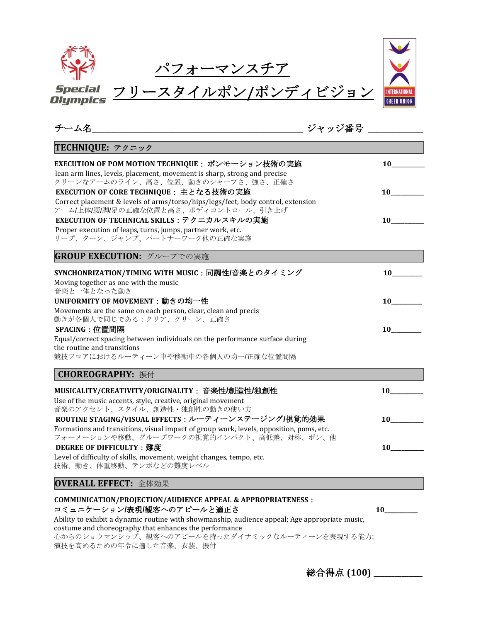| Special         | ースタイルポン/ポンディビジョン |  |
|-----------------|------------------|--|
| <b>Olympics</b> |                  |  |

| ジャッジ番号<br>チーム名                                                                                                                                 |           |
|------------------------------------------------------------------------------------------------------------------------------------------------|-----------|
| TECHNIQUE: テクニック                                                                                                                               |           |
| EXECUTION OF POM MOTION TECHNIQUE : ポンモーション技術の実施                                                                                               | 10        |
| lean arm lines, levels, placement, movement is sharp, strong and precise<br>クリーンなアームのライン、高さ、位置、動きのシャープさ、強さ、正確さ                                 |           |
| EXECUTION OF CORE TECHNIQUE : 主となる技術の実施                                                                                                        | 10        |
| Correct placement & levels of arms/torso/hips/legs/feet, body control, extension                                                               |           |
| アーム/上体/腰/脚/足の正確な位置と高さ、ボディコントロール、引き上げ                                                                                                           |           |
| EXECUTION OF TECHNICAL SKILLS : テクニカルスキルの実施                                                                                                    | 10        |
| Proper execution of leaps, turns, jumps, partner work, etc.<br>リープ、ターン、ジャンプ、パートナーワーク他の正確な実施                                                    |           |
| GROUP EXECUTION: グループでの実施                                                                                                                      |           |
|                                                                                                                                                |           |
| SYNCHONRIZATION/TIMING WITH MUSIC : 同調性/音楽とのタイミング                                                                                              |           |
| Moving together as one with the music<br>音楽と一体となった動き                                                                                           |           |
| UNIFORMITY OF MOVEMENT : 動きの均一性                                                                                                                | 10        |
| Movements are the same on each person, clear, clean and precis                                                                                 |           |
| 動きが各個人で同じである:クリア、クリーン、正確さ                                                                                                                      |           |
| SPACING: 位置間隔                                                                                                                                  | <b>10</b> |
| Equal/correct spacing between individuals on the performance surface during<br>the routine and transitions                                     |           |
| 競技フロアにおけるルーティーン中や移動中の各個人の均一/正確な位置間隔                                                                                                            |           |
| CHOREOGRAPHY: 振付                                                                                                                               |           |
| MUSICALITY/CREATIVITY/ORIGINALITY : 音楽性/創造性/独創性                                                                                                |           |
| Use of the music accents, style, creative, original movement                                                                                   |           |
| 音楽のアクセント、スタイル、創造性・独創性の動きの使い方                                                                                                                   |           |
| ROUTINE STAGING/VISUAL EFFECTS : ルーティーンステージング/視覚的効果<br>Formations and transitions, visual impact of group work, levels, opposition, poms, etc. | 10        |
| フォーメーションや移動、グループワークの視覚的インパクト、高低差、対称、ポン、他                                                                                                       |           |
| <b>DEGREE OF DIFFICULTY: 難度</b>                                                                                                                | 10        |
| Level of difficulty of skills, movement, weight changes, tempo, etc.                                                                           |           |
| 技術、動き、体重移動、テンポなどの難度レベル                                                                                                                         |           |
| OVERALL EFFECT: 全体効果                                                                                                                           |           |
| <b>COMMUNICATION/PROJECTION/AUDIENCE APPEAL &amp; APPROPRIATENESS:</b>                                                                         |           |
| コミュニケーション/表現/観客へのアピールと適正さ                                                                                                                      | <b>10</b> |
| Ability to exhibit a dynamic routine with showmanship, audience appeal; Age appropriate music,                                                 |           |
| costume and choreography that enhances the performance<br>心からのショウマンシップ、観客へのアピールを持ったダイナミックなルーティーンを表現する能力;                                       |           |

演技を高めるための年令に適した音楽、衣装、振付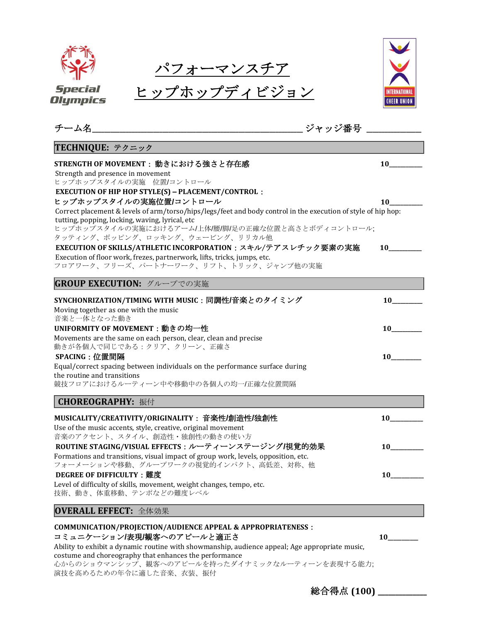パフォーマンスチア







| TECHNIQUE: テクニック                                                                                                                                                                                                                                                            |                 |
|-----------------------------------------------------------------------------------------------------------------------------------------------------------------------------------------------------------------------------------------------------------------------------|-----------------|
| STRENGTH OF MOVEMENT : 動きにおける強さと存在感<br>Strength and presence in movement<br>ヒップホップスタイルの実施 位置/コントロール                                                                                                                                                                         | 10              |
| <b>EXECUTION OF HIP HOP STYLE(S) - PLACEMENT/CONTROL:</b><br>ヒップホップスタイルの実施位置/コントロール<br>Correct placement & levels of arm/torso/hips/legs/feet and body control in the execution of style of hip hop:<br>tutting, popping, locking, waving, lyrical, etc                     |                 |
| ヒップホップスタイルの実施におけるアーム/上体/腰/脚/足の正確な位置と高さとボディコントロール;<br>タッティング、ポッピング、ロッキング、ウェービング、リリカル他<br>EXECUTION OF SKILLS/ATHLETIC INCORPORATION : スキル/テアスレチック要素の実施<br>Execution of floor work, frezes, partnerwork, lifts, tricks, jumps, etc.<br>フロアワーク、フリーズ、パートナーワーク、リフト、トリック、ジャンプ他の実施 |                 |
| GROUP EXECUTION: グループでの実施                                                                                                                                                                                                                                                   |                 |
| SYNCHONRIZATION/TIMING WITH MUSIC : 同調性/音楽とのタイミング<br>Moving together as one with the music                                                                                                                                                                                  |                 |
| 音楽と一体となった動き<br>UNIFORMITY OF MOVEMENT:動きの均一性<br>Movements are the same on each person, clear, clean and precise                                                                                                                                                             | 10              |
| 動きが各個人で同じである:クリア、クリーン、正確さ<br>SPACING:位置間隔<br>Equal/correct spacing between individuals on the performance surface during<br>the routine and transitions                                                                                                                     | 10              |
| 競技フロアにおけるルーティーン中や移動中の各個人の均一/正確な位置間隔<br><b>CHOREOGRAPHY: 振付</b>                                                                                                                                                                                                              |                 |
| MUSICALITY/CREATIVITY/ORIGINALITY : 音楽性/創造性/独創性<br>Use of the music accents, style, creative, original movement<br>音楽のアクセント、スタイル、創造性・独創性の動きの使い方                                                                                                                             | $10$ and $\sim$ |
| ROUTINE STAGING/VISUAL EFFECTS : ルーティーンステージング/視覚的効果<br>Formations and transitions, visual impact of group work, levels, opposition, etc.<br>フォーメーションや移動、グループワークの視覚的インパクト、高低差、対称、他                                                                                           | 10              |
| <b>DEGREE OF DIFFICULTY: 難度</b><br>Level of difficulty of skills, movement, weight changes, tempo, etc.<br>技術、動き、体重移動、テンポなどの難度レベル                                                                                                                                           | 10              |
| OVERALL EFFECT: 全体効果                                                                                                                                                                                                                                                        |                 |
| <b>COMMUNICATION/PROJECTION/AUDIENCE APPEAL &amp; APPROPRIATENESS:</b><br>コミュニケーション/表現/観客へのアピールと適正さ<br>Ability to exhibit a dynamic routine with showmanship, audience appeal; Age appropriate music,<br>costume and choreography that enhances the performance             | <b>10</b>       |

心からのショウマンシップ、観客へのアピールを持ったダイナミックなルーティーンを表現する能力; 演技を高めるための年令に適した音楽、衣装、振付

総合得点 **(100) \_\_\_\_\_\_\_\_\_\_\_\_\_\_**